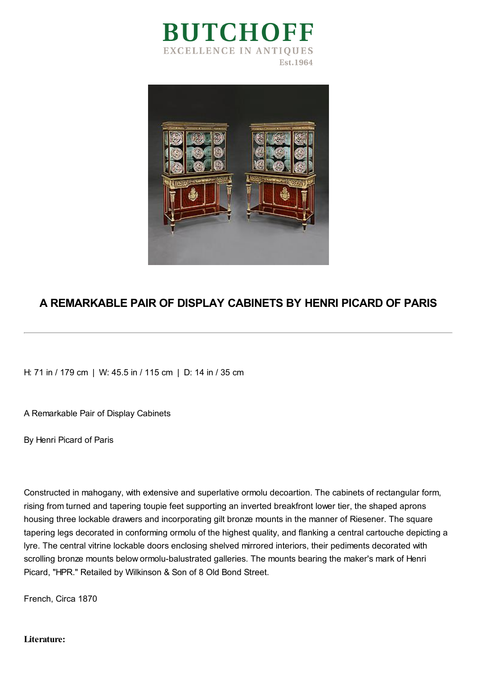



## **A REMARKABLE PAIR OF DISPLAY CABINETS BY HENRI PICARD OF PARIS**

H: 71 in / 179 cm | W: 45.5 in / 115 cm | D: 14 in / 35 cm

A Remarkable Pair of Display Cabinets

By Henri Picard of Paris

Constructed in mahogany, with extensive and superlative ormolu decoartion. The cabinets of rectangular form, rising from turned and tapering toupie feet supporting an inverted breakfront lower tier, the shaped aprons housing three lockable drawers and incorporating gilt bronze mounts in the manner of Riesener. The square tapering legs decorated in conforming ormolu of the highest quality, and flanking a central cartouche depicting a lyre. The central vitrine lockable doors enclosing shelved mirrored interiors, their pediments decorated with scrolling bronze mounts below ormolu-balustrated galleries. The mounts bearing the maker's mark of Henri Picard, "HPR." Retailed by Wilkinson & Son of 8 Old Bond Street.

French, Circa 1870

**Literature:**